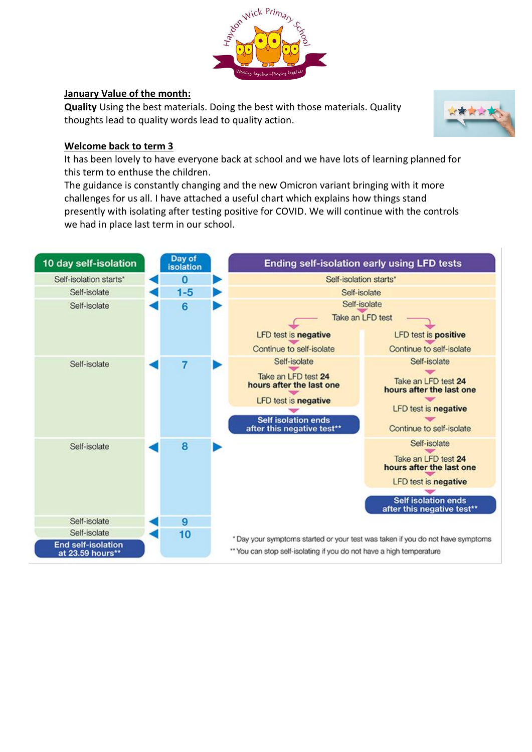

### **January Value of the month:**

**Quality** Using the best materials. Doing the best with those materials. Quality thoughts lead to quality words lead to quality action.



#### **Welcome back to term 3**

It has been lovely to have everyone back at school and we have lots of learning planned for this term to enthuse the children.

The guidance is constantly changing and the new Omicron variant bringing with it more challenges for us all. I have attached a useful chart which explains how things stand presently with isolating after testing positive for COVID. We will continue with the controls we had in place last term in our school.

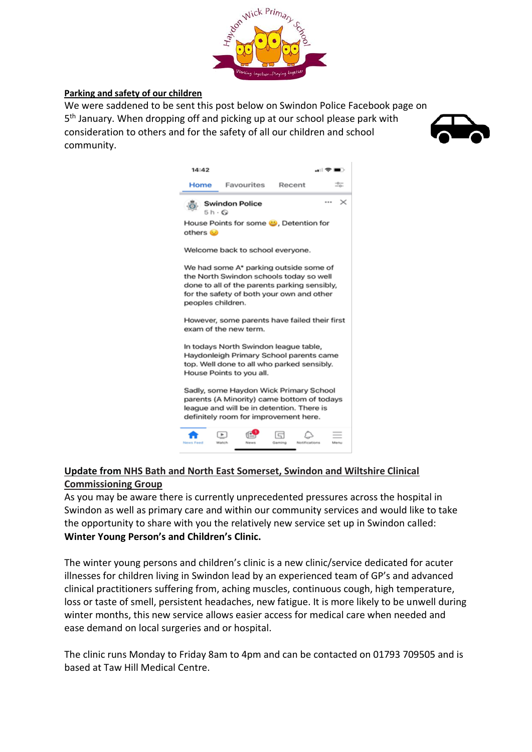

#### **Parking and safety of our children**

We were saddened to be sent this post below on Swindon Police Facebook page on 5<sup>th</sup> January. When dropping off and picking up at our school please park with consideration to others and for the safety of all our children and school community.





## **Update from NHS Bath and North East Somerset, Swindon and Wiltshire Clinical Commissioning Group**

As you may be aware there is currently unprecedented pressures across the hospital in Swindon as well as primary care and within our community services and would like to take the opportunity to share with you the relatively new service set up in Swindon called: **Winter Young Person's and Children's Clinic.**

The winter young persons and children's clinic is a new clinic/service dedicated for acuter illnesses for children living in Swindon lead by an experienced team of GP's and advanced clinical practitioners suffering from, aching muscles, continuous cough, high temperature, loss or taste of smell, persistent headaches, new fatigue. It is more likely to be unwell during winter months, this new service allows easier access for medical care when needed and ease demand on local surgeries and or hospital.

The clinic runs Monday to Friday 8am to 4pm and can be contacted on 01793 709505 and is based at Taw Hill Medical Centre.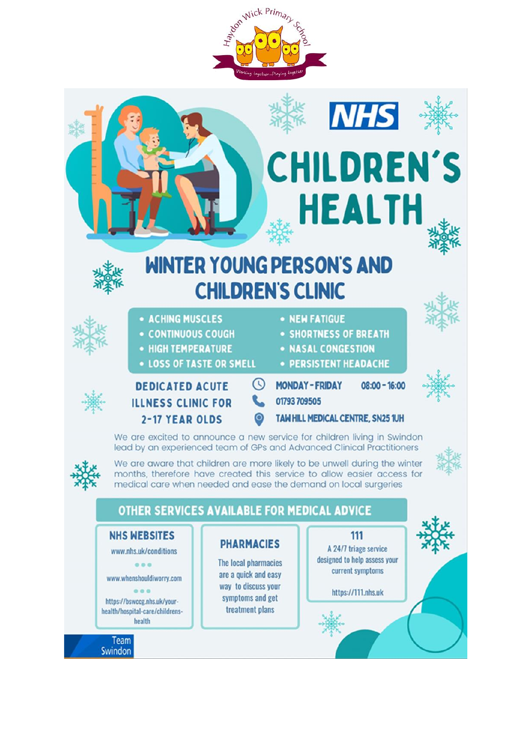